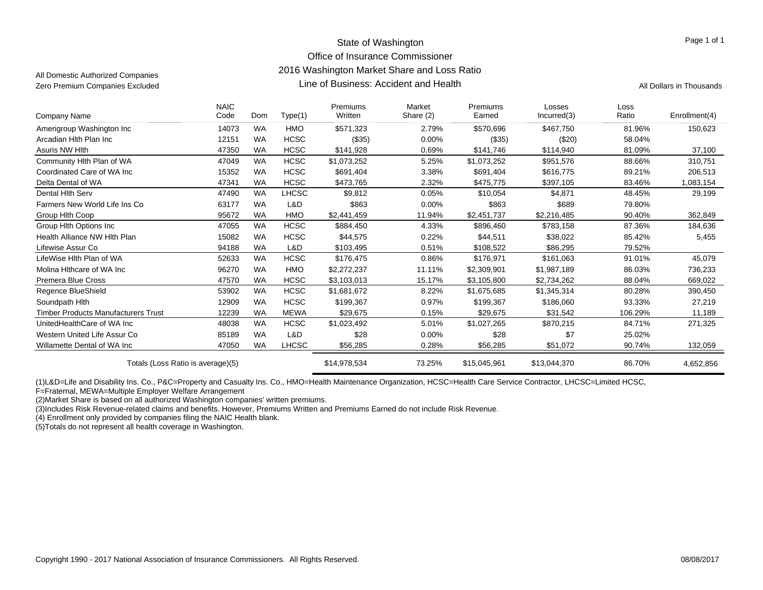### State of Washington Office of Insurance Commissioner 2016 Washington Market Share and Loss Ratio Line of Business: Accident and HealthZero Premium Companies Excluded **All Dollars in Thousands Line of Business: Accident and Health** All Dollars in Thousands

All Domestic Authorized Companies

Page 1 of 1

| Company Name                               | <b>NAIC</b><br>Code | Dom       |              | Premiums<br>Written | Market<br>Share (2) | Premiums<br>Earned | Losses<br>Incurred(3) | Loss<br>Ratio | Enrollment(4) |
|--------------------------------------------|---------------------|-----------|--------------|---------------------|---------------------|--------------------|-----------------------|---------------|---------------|
|                                            |                     |           | Type(1)      |                     |                     |                    |                       |               |               |
| Amerigroup Washington Inc                  | 14073               | <b>WA</b> | HMO          | \$571,323           | 2.79%               | \$570,696          | \$467,750             | 81.96%        | 150,623       |
| Arcadian Hith Plan Inc                     | 12151               | <b>WA</b> | <b>HCSC</b>  | ( \$35)             | $0.00\%$            | (\$35)             | (\$20)                | 58.04%        |               |
| Asuris NW Hlth                             | 47350               | <b>WA</b> | <b>HCSC</b>  | \$141,928           | 0.69%               | \$141,746          | \$114,940             | 81.09%        | 37,100        |
| Community Hith Plan of WA                  | 47049               | <b>WA</b> | <b>HCSC</b>  | \$1,073,252         | 5.25%               | \$1,073,252        | \$951,576             | 88.66%        | 310,751       |
| Coordinated Care of WA Inc                 | 15352               | <b>WA</b> | <b>HCSC</b>  | \$691,404           | 3.38%               | \$691,404          | \$616,775             | 89.21%        | 206,513       |
| Delta Dental of WA                         | 47341               | <b>WA</b> | <b>HCSC</b>  | \$473,765           | 2.32%               | \$475,775          | \$397,105             | 83.46%        | 1,083,154     |
| Dental Hith Serv                           | 47490               | <b>WA</b> | <b>LHCSC</b> | \$9,812             | 0.05%               | \$10,054           | \$4,871               | 48.45%        | 29,199        |
| Farmers New World Life Ins Co              | 63177               | <b>WA</b> | L&D          | \$863               | 0.00%               | \$863              | \$689                 | 79.80%        |               |
| Group Hith Coop                            | 95672               | <b>WA</b> | HMO          | \$2,441,459         | 11.94%              | \$2,451,737        | \$2,216,485           | 90.40%        | 362,849       |
| Group Hith Options Inc.                    | 47055               | <b>WA</b> | <b>HCSC</b>  | \$884,450           | 4.33%               | \$896,460          | \$783,158             | 87.36%        | 184,636       |
| Health Alliance NW Hith Plan               | 15082               | <b>WA</b> | <b>HCSC</b>  | \$44,575            | 0.22%               | \$44,511           | \$38,022              | 85.42%        | 5,455         |
| Lifewise Assur Co                          | 94188               | <b>WA</b> | L&D          | \$103,495           | 0.51%               | \$108,522          | \$86,295              | 79.52%        |               |
| LifeWise Hlth Plan of WA                   | 52633               | <b>WA</b> | <b>HCSC</b>  | \$176.475           | 0.86%               | \$176,971          | \$161,063             | 91.01%        | 45,079        |
| Molina Hithcare of WA Inc                  | 96270               | <b>WA</b> | HMO          | \$2,272,237         | 11.11%              | \$2,309,901        | \$1,987,189           | 86.03%        | 736,233       |
| Premera Blue Cross                         | 47570               | <b>WA</b> | <b>HCSC</b>  | \$3,103,013         | 15.17%              | \$3,105,800        | \$2,734,262           | 88.04%        | 669,022       |
| Regence BlueShield                         | 53902               | <b>WA</b> | <b>HCSC</b>  | \$1,681,672         | 8.22%               | \$1,675,685        | \$1,345,314           | 80.28%        | 390,450       |
| Soundpath Hith                             | 12909               | <b>WA</b> | <b>HCSC</b>  | \$199,367           | 0.97%               | \$199,367          | \$186,060             | 93.33%        | 27,219        |
| <b>Timber Products Manufacturers Trust</b> | 12239               | <b>WA</b> | <b>MEWA</b>  | \$29,675            | 0.15%               | \$29,675           | \$31,542              | 106.29%       | 11,189        |
| UnitedHealthCare of WA Inc                 | 48038               | <b>WA</b> | <b>HCSC</b>  | \$1,023,492         | 5.01%               | \$1,027,265        | \$870,215             | 84.71%        | 271,325       |
| Western United Life Assur Co               | 85189               | <b>WA</b> | L&D          | \$28                | 0.00%               | \$28               | \$7                   | 25.02%        |               |
| Willamette Dental of WA Inc                | 47050               | <b>WA</b> | <b>LHCSC</b> | \$56,285            | 0.28%               | \$56,285           | \$51,072              | 90.74%        | 132,059       |
| Totals (Loss Ratio is average)(5)          |                     |           |              | \$14,978,534        | 73.25%              | \$15,045,961       | \$13,044,370          | 86.70%        | 4,652,856     |

(1)L&D=Life and Disability Ins. Co., P&C=Property and Casualty Ins. Co., HMO=Health Maintenance Organization, HCSC=Health Care Service Contractor, LHCSC=Limited HCSC,

F=Fraternal, MEWA=Multiple Employer Welfare Arrangement

(2)Market Share is based on all authorized Washington companies' written premiums.

(3)Includes Risk Revenue-related claims and benefits. However, Premiums Written and Premiums Earned do not include Risk Revenue.

(4) Enrollment only provided by companies filing the NAIC Health blank.

(5)Totals do not represent all health coverage in Washington.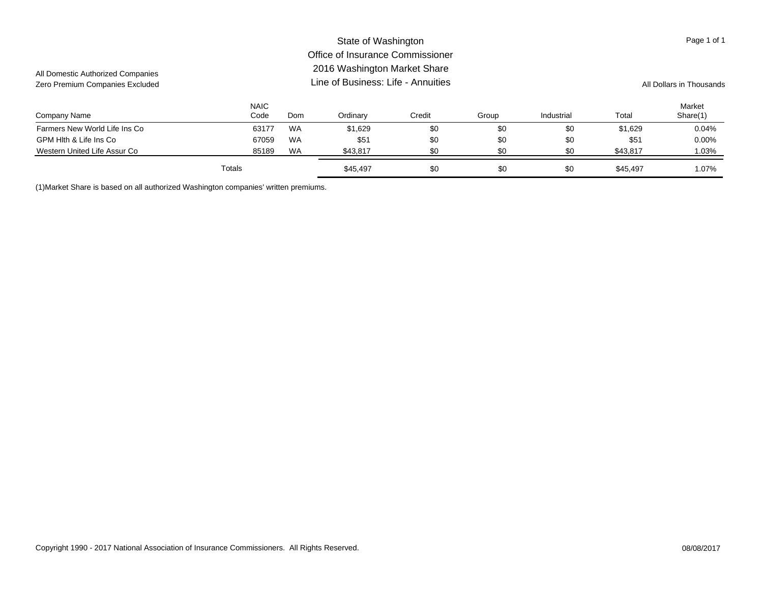### Company Name NAICCode Ordinary Credit Group Industrial Total MarketShare(1) Domm Ordinary Credit Group Industrial Total Share(1) State of Washington Office of Insurance Commissioner2016 Washington Market Share Line of Business: Life - AnnuitiesAll Domestic Authorized Companies Zero Premium Companies Excluded **All Dollars in Thousands** Line of Business: Life - Annuities All Dollars in Thousands Page 1 of 1 Farmers New World Life Ins Co **63177 WA** \$1,629 \$0 \$0 \$0 \$0 \$1,629 0.04% GPM Hlth & Life Ins Co 600% (67059 WA \$51 \$0 \$0 \$0 \$0 \$51 0.00% Western United Life Assur Co **85189 WA** \$43,817 \$0 \$0 \$43,817 \$69 \$43,817 1.03% Totals\$1.07% \$45,497 \$0 \$0 \$0 \$0 \$45,497 \$1.07%

(1)Market Share is based on all authorized Washington companies' written premiums.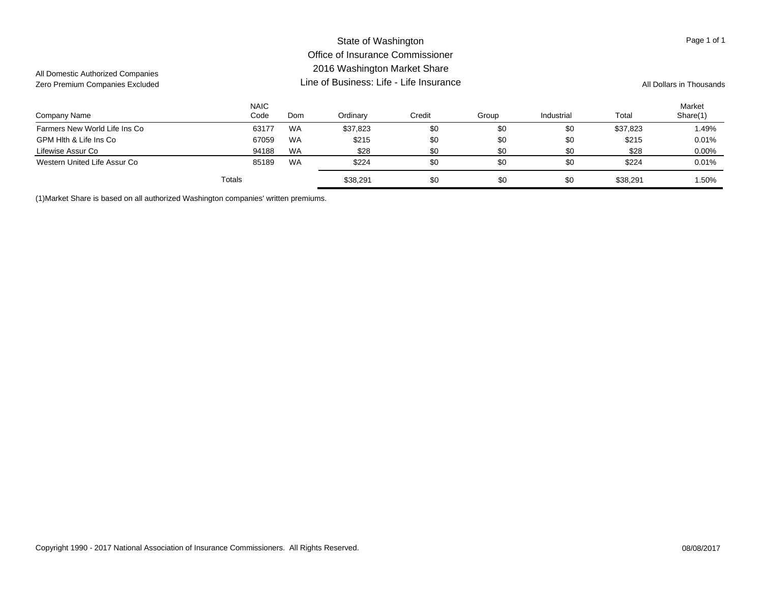### Company Name NAICCode Ordinary Credit Group Industrial Total MarketShare(1) Domm Ordinary Credit Group Industrial Total Share(1) State of Washington Office of Insurance Commissioner2016 Washington Market Share Line of Business: Life - Life InsuranceAll Domestic Authorized Companies Zero Premium Companies Excluded **All Dollars in Thousands Line of Business: Life - Life Insurance** All Dollars in Thousands Page 1 of 1 Farmers New World Life Ins Co **63177 WA** \$37,823 \$0 \$0 \$37,823 \$0 \$37,823 1.49% GPM Hlth & Life Ins Co 6.01% (67059 WA \$215 \$0 \$0 \$0 \$215 0.01% 670 \$215 0.01% 670 \$215 0.01% MA \$215 0.01% WA Lifewise Assur Co 94188 WA \$28 \$0 \$0 \$28 0.00% Western United Life Assur Co **851 March 2019** 85189 WA \$224 \$0 \$0 \$0 \$224 \$224 \$224 0.01% Totals\$38,291 \$0 \$0 \$0 \$0 \$0 \$38,291 \$0 \$0 \$38,291 \$1.50

(1)Market Share is based on all authorized Washington companies' written premiums.